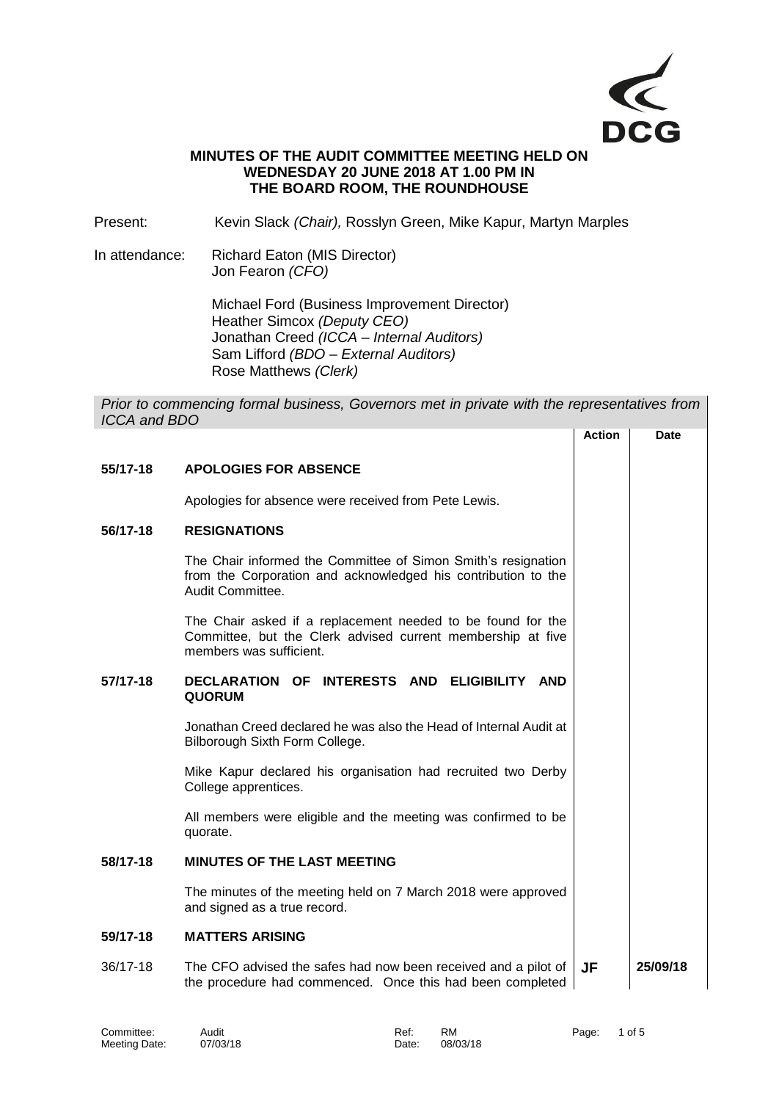

# **MINUTES OF THE AUDIT COMMITTEE MEETING HELD ON WEDNESDAY 20 JUNE 2018 AT 1.00 PM IN THE BOARD ROOM, THE ROUNDHOUSE**

Present: Kevin Slack *(Chair),* Rosslyn Green, Mike Kapur, Martyn Marples

In attendance: Richard Eaton (MIS Director) Jon Fearon *(CFO)*

> Michael Ford (Business Improvement Director) Heather Simcox *(Deputy CEO)* Jonathan Creed *(ICCA – Internal Auditors)* Sam Lifford *(BDO – External Auditors)* Rose Matthews *(Clerk)*

*Prior to commencing formal business, Governors met in private with the representatives from ICCA and BDO* **Action Date**

|          |                                                                                                                                                       | AGUON | Dale     |
|----------|-------------------------------------------------------------------------------------------------------------------------------------------------------|-------|----------|
| 55/17-18 | <b>APOLOGIES FOR ABSENCE</b>                                                                                                                          |       |          |
|          | Apologies for absence were received from Pete Lewis.                                                                                                  |       |          |
| 56/17-18 | <b>RESIGNATIONS</b>                                                                                                                                   |       |          |
|          | The Chair informed the Committee of Simon Smith's resignation<br>from the Corporation and acknowledged his contribution to the<br>Audit Committee.    |       |          |
|          | The Chair asked if a replacement needed to be found for the<br>Committee, but the Clerk advised current membership at five<br>members was sufficient. |       |          |
| 57/17-18 | DECLARATION OF INTERESTS AND ELIGIBILITY AND<br><b>QUORUM</b>                                                                                         |       |          |
|          | Jonathan Creed declared he was also the Head of Internal Audit at<br>Bilborough Sixth Form College.                                                   |       |          |
|          | Mike Kapur declared his organisation had recruited two Derby<br>College apprentices.                                                                  |       |          |
|          | All members were eligible and the meeting was confirmed to be<br>quorate.                                                                             |       |          |
| 58/17-18 | <b>MINUTES OF THE LAST MEETING</b>                                                                                                                    |       |          |
|          | The minutes of the meeting held on 7 March 2018 were approved<br>and signed as a true record.                                                         |       |          |
| 59/17-18 | <b>MATTERS ARISING</b>                                                                                                                                |       |          |
| 36/17-18 | The CFO advised the safes had now been received and a pilot of<br>the procedure had commenced. Once this had been completed                           | JF    | 25/09/18 |

| Committee:    | Audit    | Ref:  | <b>RM</b> | Page: | 1 of 5 |
|---------------|----------|-------|-----------|-------|--------|
| Meeting Date: | 07/03/18 | Date: | 08/03/18  |       |        |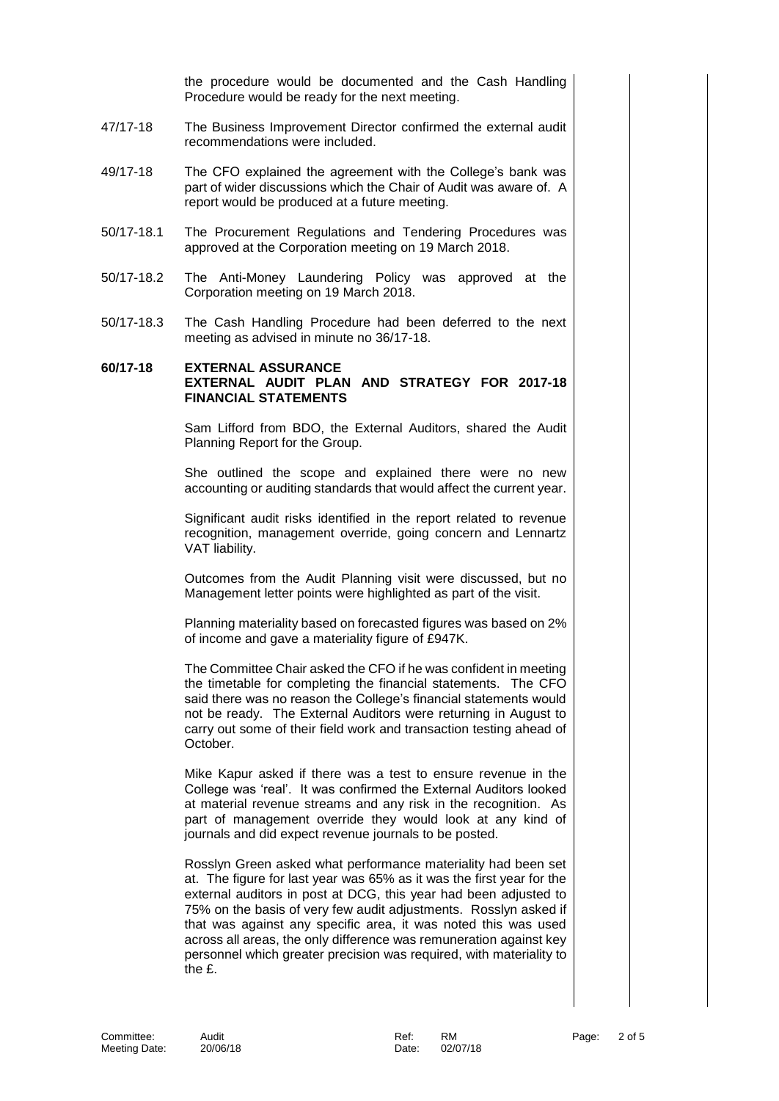the procedure would be documented and the Cash Handling Procedure would be ready for the next meeting.

- 47/17-18 The Business Improvement Director confirmed the external audit recommendations were included.
- 49/17-18 The CFO explained the agreement with the College's bank was part of wider discussions which the Chair of Audit was aware of. A report would be produced at a future meeting.
- 50/17-18.1 The Procurement Regulations and Tendering Procedures was approved at the Corporation meeting on 19 March 2018.
- 50/17-18.2 The Anti-Money Laundering Policy was approved at the Corporation meeting on 19 March 2018.
- 50/17-18.3 The Cash Handling Procedure had been deferred to the next meeting as advised in minute no 36/17-18.

# **60/17-18 EXTERNAL ASSURANCE EXTERNAL AUDIT PLAN AND STRATEGY FOR 2017-18 FINANCIAL STATEMENTS**

Sam Lifford from BDO, the External Auditors, shared the Audit Planning Report for the Group.

She outlined the scope and explained there were no new accounting or auditing standards that would affect the current year.

Significant audit risks identified in the report related to revenue recognition, management override, going concern and Lennartz VAT liability.

Outcomes from the Audit Planning visit were discussed, but no Management letter points were highlighted as part of the visit.

Planning materiality based on forecasted figures was based on 2% of income and gave a materiality figure of £947K.

The Committee Chair asked the CFO if he was confident in meeting the timetable for completing the financial statements. The CFO said there was no reason the College's financial statements would not be ready. The External Auditors were returning in August to carry out some of their field work and transaction testing ahead of October.

Mike Kapur asked if there was a test to ensure revenue in the College was 'real'. It was confirmed the External Auditors looked at material revenue streams and any risk in the recognition. As part of management override they would look at any kind of journals and did expect revenue journals to be posted.

Rosslyn Green asked what performance materiality had been set at. The figure for last year was 65% as it was the first year for the external auditors in post at DCG, this year had been adjusted to 75% on the basis of very few audit adjustments. Rosslyn asked if that was against any specific area, it was noted this was used across all areas, the only difference was remuneration against key personnel which greater precision was required, with materiality to the £.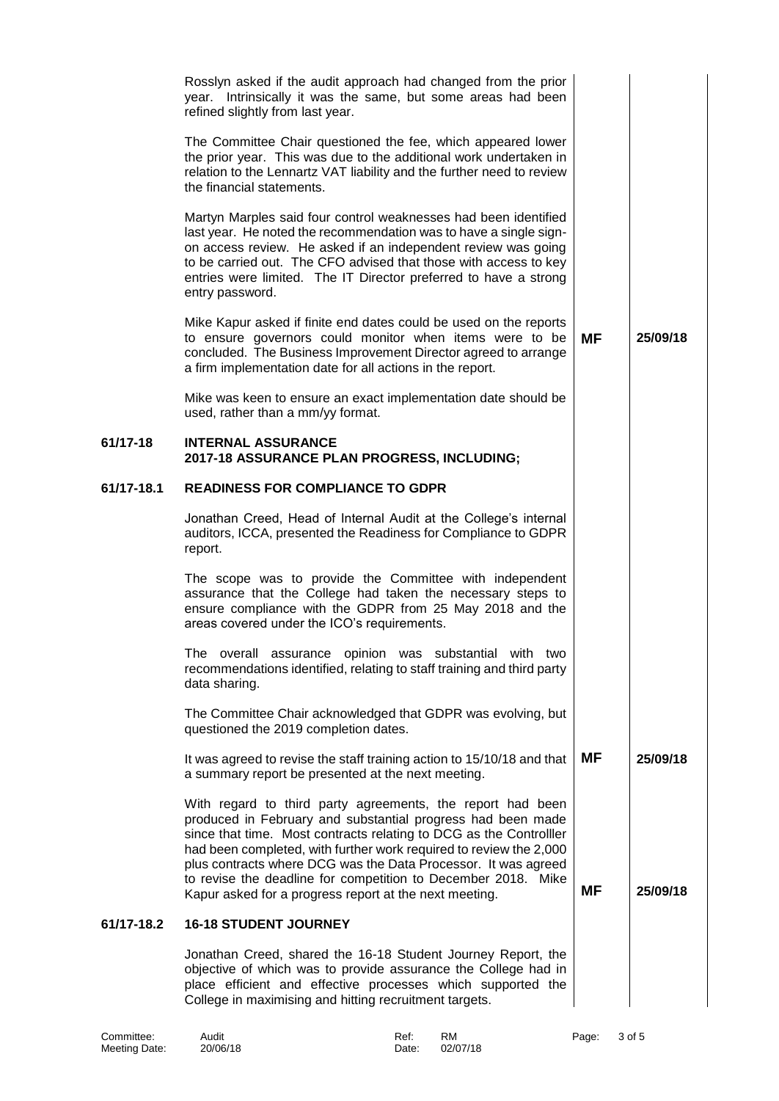|            | Rosslyn asked if the audit approach had changed from the prior<br>Intrinsically it was the same, but some areas had been<br>year.<br>refined slightly from last year.<br>The Committee Chair questioned the fee, which appeared lower<br>the prior year. This was due to the additional work undertaken in<br>relation to the Lennartz VAT liability and the further need to review<br>the financial statements.<br>Martyn Marples said four control weaknesses had been identified<br>last year. He noted the recommendation was to have a single sign-<br>on access review. He asked if an independent review was going<br>to be carried out. The CFO advised that those with access to key<br>entries were limited. The IT Director preferred to have a strong<br>entry password.<br>Mike Kapur asked if finite end dates could be used on the reports<br>to ensure governors could monitor when items were to be<br>concluded. The Business Improvement Director agreed to arrange<br>a firm implementation date for all actions in the report.<br>Mike was keen to ensure an exact implementation date should be<br>used, rather than a mm/yy format. | ΜF | 25/09/18 |
|------------|------------------------------------------------------------------------------------------------------------------------------------------------------------------------------------------------------------------------------------------------------------------------------------------------------------------------------------------------------------------------------------------------------------------------------------------------------------------------------------------------------------------------------------------------------------------------------------------------------------------------------------------------------------------------------------------------------------------------------------------------------------------------------------------------------------------------------------------------------------------------------------------------------------------------------------------------------------------------------------------------------------------------------------------------------------------------------------------------------------------------------------------------------------|----|----------|
| 61/17-18   | <b>INTERNAL ASSURANCE</b><br>2017-18 ASSURANCE PLAN PROGRESS, INCLUDING;                                                                                                                                                                                                                                                                                                                                                                                                                                                                                                                                                                                                                                                                                                                                                                                                                                                                                                                                                                                                                                                                                   |    |          |
| 61/17-18.1 | <b>READINESS FOR COMPLIANCE TO GDPR</b>                                                                                                                                                                                                                                                                                                                                                                                                                                                                                                                                                                                                                                                                                                                                                                                                                                                                                                                                                                                                                                                                                                                    |    |          |
|            | Jonathan Creed, Head of Internal Audit at the College's internal<br>auditors, ICCA, presented the Readiness for Compliance to GDPR<br>report.                                                                                                                                                                                                                                                                                                                                                                                                                                                                                                                                                                                                                                                                                                                                                                                                                                                                                                                                                                                                              |    |          |
|            | The scope was to provide the Committee with independent<br>assurance that the College had taken the necessary steps to<br>ensure compliance with the GDPR from 25 May 2018 and the<br>areas covered under the ICO's requirements.                                                                                                                                                                                                                                                                                                                                                                                                                                                                                                                                                                                                                                                                                                                                                                                                                                                                                                                          |    |          |
|            | The overall assurance opinion was substantial with two<br>recommendations identified, relating to staff training and third party<br>data sharing.                                                                                                                                                                                                                                                                                                                                                                                                                                                                                                                                                                                                                                                                                                                                                                                                                                                                                                                                                                                                          |    |          |
|            | The Committee Chair acknowledged that GDPR was evolving, but<br>questioned the 2019 completion dates.                                                                                                                                                                                                                                                                                                                                                                                                                                                                                                                                                                                                                                                                                                                                                                                                                                                                                                                                                                                                                                                      |    |          |
|            | It was agreed to revise the staff training action to 15/10/18 and that<br>a summary report be presented at the next meeting.                                                                                                                                                                                                                                                                                                                                                                                                                                                                                                                                                                                                                                                                                                                                                                                                                                                                                                                                                                                                                               | ΜF | 25/09/18 |
|            | With regard to third party agreements, the report had been<br>produced in February and substantial progress had been made<br>since that time. Most contracts relating to DCG as the Controlller<br>had been completed, with further work required to review the 2,000<br>plus contracts where DCG was the Data Processor. It was agreed<br>to revise the deadline for competition to December 2018. Mike<br>Kapur asked for a progress report at the next meeting.                                                                                                                                                                                                                                                                                                                                                                                                                                                                                                                                                                                                                                                                                         | ΜF | 25/09/18 |
| 61/17-18.2 | <b>16-18 STUDENT JOURNEY</b>                                                                                                                                                                                                                                                                                                                                                                                                                                                                                                                                                                                                                                                                                                                                                                                                                                                                                                                                                                                                                                                                                                                               |    |          |
|            | Jonathan Creed, shared the 16-18 Student Journey Report, the<br>objective of which was to provide assurance the College had in<br>place efficient and effective processes which supported the<br>College in maximising and hitting recruitment targets.                                                                                                                                                                                                                                                                                                                                                                                                                                                                                                                                                                                                                                                                                                                                                                                                                                                                                                    |    |          |

| Committee:    | Audit    | Ref:  | <b>RM</b> | Page: 3 of 5 |  |
|---------------|----------|-------|-----------|--------------|--|
| Meeting Date: | 20/06/18 | Date: | 02/07/18  |              |  |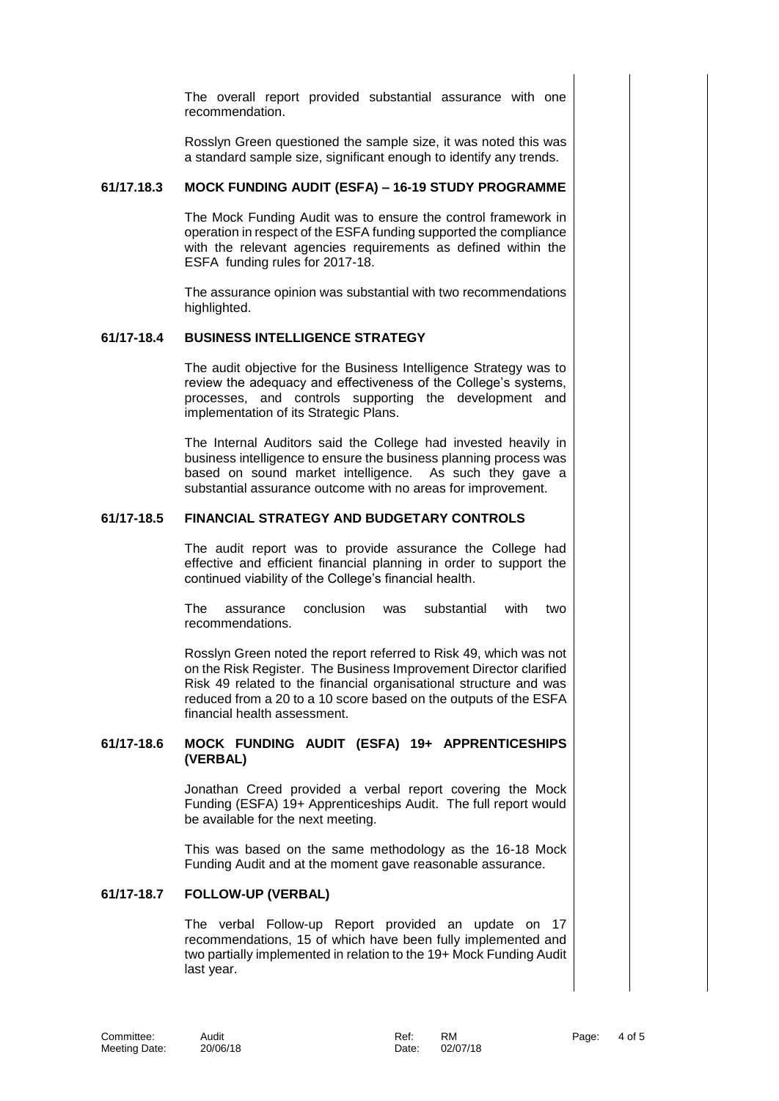The overall report provided substantial assurance with one recommendation.

Rosslyn Green questioned the sample size, it was noted this was a standard sample size, significant enough to identify any trends.

#### **61/17.18.3 MOCK FUNDING AUDIT (ESFA) – 16-19 STUDY PROGRAMME**

The Mock Funding Audit was to ensure the control framework in operation in respect of the ESFA funding supported the compliance with the relevant agencies requirements as defined within the ESFA funding rules for 2017-18.

The assurance opinion was substantial with two recommendations highlighted.

# **61/17-18.4 BUSINESS INTELLIGENCE STRATEGY**

The audit objective for the Business Intelligence Strategy was to review the adequacy and effectiveness of the College's systems, processes, and controls supporting the development and implementation of its Strategic Plans.

The Internal Auditors said the College had invested heavily in business intelligence to ensure the business planning process was based on sound market intelligence. As such they gave a substantial assurance outcome with no areas for improvement.

#### **61/17-18.5 FINANCIAL STRATEGY AND BUDGETARY CONTROLS**

The audit report was to provide assurance the College had effective and efficient financial planning in order to support the continued viability of the College's financial health.

The assurance conclusion was substantial with two recommendations.

Rosslyn Green noted the report referred to Risk 49, which was not on the Risk Register. The Business Improvement Director clarified Risk 49 related to the financial organisational structure and was reduced from a 20 to a 10 score based on the outputs of the ESFA financial health assessment.

### **61/17-18.6 MOCK FUNDING AUDIT (ESFA) 19+ APPRENTICESHIPS (VERBAL)**

Jonathan Creed provided a verbal report covering the Mock Funding (ESFA) 19+ Apprenticeships Audit. The full report would be available for the next meeting.

This was based on the same methodology as the 16-18 Mock Funding Audit and at the moment gave reasonable assurance.

## **61/17-18.7 FOLLOW-UP (VERBAL)**

The verbal Follow-up Report provided an update on 17 recommendations, 15 of which have been fully implemented and two partially implemented in relation to the 19+ Mock Funding Audit last year.